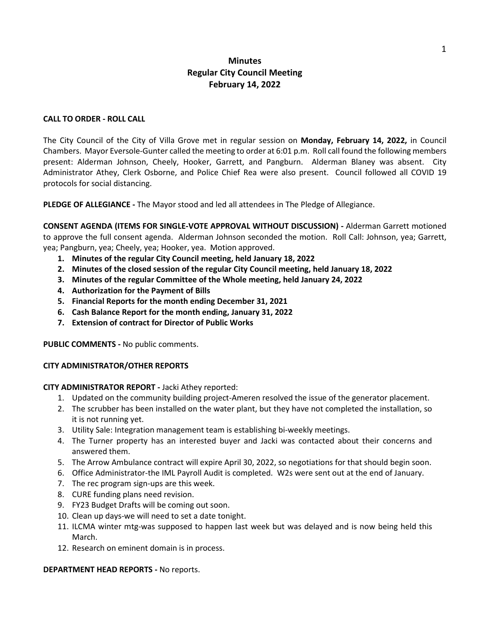# **Minutes Regular City Council Meeting February 14, 2022**

### **CALL TO ORDER - ROLL CALL**

The City Council of the City of Villa Grove met in regular session on **Monday, February 14, 2022,** in Council Chambers. Mayor Eversole-Gunter called the meeting to order at 6:01 p.m. Roll call found the following members present: Alderman Johnson, Cheely, Hooker, Garrett, and Pangburn. Alderman Blaney was absent. City Administrator Athey, Clerk Osborne, and Police Chief Rea were also present. Council followed all COVID 19 protocols for social distancing.

**PLEDGE OF ALLEGIANCE -** The Mayor stood and led all attendees in The Pledge of Allegiance.

**CONSENT AGENDA (ITEMS FOR SINGLE-VOTE APPROVAL WITHOUT DISCUSSION) -** Alderman Garrett motioned to approve the full consent agenda. Alderman Johnson seconded the motion. Roll Call: Johnson, yea; Garrett, yea; Pangburn, yea; Cheely, yea; Hooker, yea. Motion approved.

- **1. Minutes of the regular City Council meeting, held January 18, 2022**
- **2. Minutes of the closed session of the regular City Council meeting, held January 18, 2022**
- **3. Minutes of the regular Committee of the Whole meeting, held January 24, 2022**
- **4. Authorization for the Payment of Bills**
- **5. Financial Reports for the month ending December 31, 2021**
- **6. Cash Balance Report for the month ending, January 31, 2022**
- **7. Extension of contract for Director of Public Works**

**PUBLIC COMMENTS -** No public comments.

#### **CITY ADMINISTRATOR/OTHER REPORTS**

#### **CITY ADMINISTRATOR REPORT -** Jacki Athey reported:

- 1. Updated on the community building project-Ameren resolved the issue of the generator placement.
- 2. The scrubber has been installed on the water plant, but they have not completed the installation, so it is not running yet.
- 3. Utility Sale: Integration management team is establishing bi-weekly meetings.
- 4. The Turner property has an interested buyer and Jacki was contacted about their concerns and answered them.
- 5. The Arrow Ambulance contract will expire April 30, 2022, so negotiations for that should begin soon.
- 6. Office Administrator-the IML Payroll Audit is completed. W2s were sent out at the end of January.
- 7. The rec program sign-ups are this week.
- 8. CURE funding plans need revision.
- 9. FY23 Budget Drafts will be coming out soon.
- 10. Clean up days-we will need to set a date tonight.
- 11. ILCMA winter mtg-was supposed to happen last week but was delayed and is now being held this March.
- 12. Research on eminent domain is in process.

#### **DEPARTMENT HEAD REPORTS -** No reports.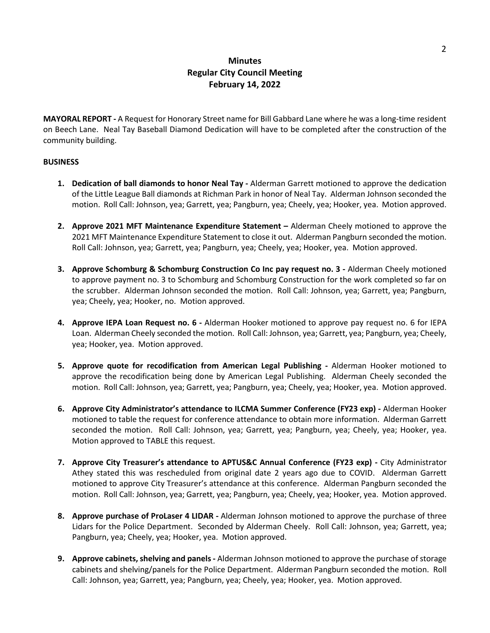# **Minutes Regular City Council Meeting February 14, 2022**

**MAYORAL REPORT -** A Request for Honorary Street name for Bill Gabbard Lane where he was a long-time resident on Beech Lane. Neal Tay Baseball Diamond Dedication will have to be completed after the construction of the community building.

### **BUSINESS**

- **1. Dedication of ball diamonds to honor Neal Tay -** Alderman Garrett motioned to approve the dedication of the Little League Ball diamonds at Richman Park in honor of Neal Tay. Alderman Johnson seconded the motion. Roll Call: Johnson, yea; Garrett, yea; Pangburn, yea; Cheely, yea; Hooker, yea. Motion approved.
- **2. Approve 2021 MFT Maintenance Expenditure Statement –** Alderman Cheely motioned to approve the 2021 MFT Maintenance Expenditure Statement to close it out. Alderman Pangburn seconded the motion. Roll Call: Johnson, yea; Garrett, yea; Pangburn, yea; Cheely, yea; Hooker, yea. Motion approved.
- **3. Approve Schomburg & Schomburg Construction Co Inc pay request no. 3 -** Alderman Cheely motioned to approve payment no. 3 to Schomburg and Schomburg Construction for the work completed so far on the scrubber. Alderman Johnson seconded the motion. Roll Call: Johnson, yea; Garrett, yea; Pangburn, yea; Cheely, yea; Hooker, no. Motion approved.
- **4. Approve IEPA Loan Request no. 6 -** Alderman Hooker motioned to approve pay request no. 6 for IEPA Loan. Alderman Cheely seconded the motion. Roll Call: Johnson, yea; Garrett, yea; Pangburn, yea; Cheely, yea; Hooker, yea. Motion approved.
- **5. Approve quote for recodification from American Legal Publishing -** Alderman Hooker motioned to approve the recodification being done by American Legal Publishing. Alderman Cheely seconded the motion. Roll Call: Johnson, yea; Garrett, yea; Pangburn, yea; Cheely, yea; Hooker, yea. Motion approved.
- **6. Approve City Administrator's attendance to ILCMA Summer Conference (FY23 exp) -** Alderman Hooker motioned to table the request for conference attendance to obtain more information. Alderman Garrett seconded the motion. Roll Call: Johnson, yea; Garrett, yea; Pangburn, yea; Cheely, yea; Hooker, yea. Motion approved to TABLE this request.
- **7. Approve City Treasurer's attendance to APTUS&C Annual Conference (FY23 exp) -** City Administrator Athey stated this was rescheduled from original date 2 years ago due to COVID. Alderman Garrett motioned to approve City Treasurer's attendance at this conference. Alderman Pangburn seconded the motion. Roll Call: Johnson, yea; Garrett, yea; Pangburn, yea; Cheely, yea; Hooker, yea. Motion approved.
- **8. Approve purchase of ProLaser 4 LIDAR -** Alderman Johnson motioned to approve the purchase of three Lidars for the Police Department. Seconded by Alderman Cheely. Roll Call: Johnson, yea; Garrett, yea; Pangburn, yea; Cheely, yea; Hooker, yea. Motion approved.
- **9. Approve cabinets, shelving and panels-** Alderman Johnson motioned to approve the purchase of storage cabinets and shelving/panels for the Police Department. Alderman Pangburn seconded the motion. Roll Call: Johnson, yea; Garrett, yea; Pangburn, yea; Cheely, yea; Hooker, yea. Motion approved.